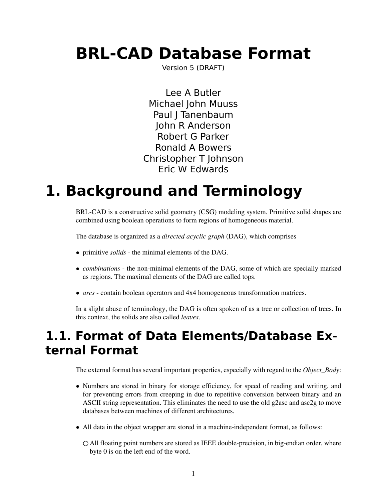# **BRL-CAD Database Format**

Version 5 (DRAFT)

Lee A Butler Michael John Muuss Paul J Tanenbaum John R Anderson Robert G Parker Ronald A Bowers Christopher T Johnson Eric W Edwards

# **1. Background and Terminology**

BRL-CAD is a constructive solid geometry (CSG) modeling system. Primitive solid shapes are combined using boolean operations to form regions of homogeneous material.

The database is organized as a *directed acyclic graph* (DAG), which comprises

- primitive *solids* the minimal elements of the DAG.
- *combinations* the non-minimal elements of the DAG, some of which are specially marked as regions. The maximal elements of the DAG are called tops.
- *arcs* contain boolean operators and 4x4 homogeneous transformation matrices.

In a slight abuse of terminology, the DAG is often spoken of as a tree or collection of trees. In this context, the solids are also called *leaves*.

### **1.1. Format of Data Elements/Database External Format**

The external format has several important properties, especially with regard to the *Object\_Body*:

- Numbers are stored in binary for storage efficiency, for speed of reading and writing, and for preventing errors from creeping in due to repetitive conversion between binary and an ASCII string representation. This eliminates the need to use the old g2asc and asc2g to move databases between machines of different architectures.
- All data in the object wrapper are stored in a machine-independent format, as follows:
	- All floating point numbers are stored as IEEE double-precision, in big-endian order, where byte 0 is on the left end of the word.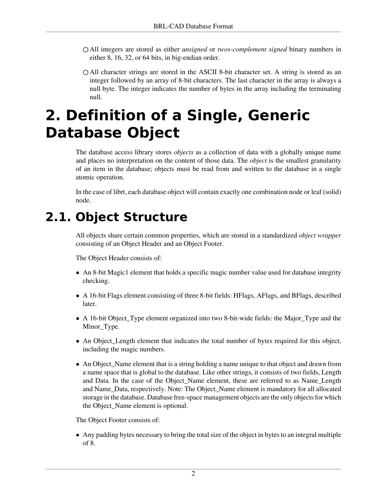- All integers are stored as either *unsigned* or *twos-complement signed* binary numbers in either 8, 16, 32, or 64 bits, in big-endian order.
- All character strings are stored in the ASCII 8-bit character set. A string is stored as an integer followed by an array of 8-bit characters. The last character in the array is always a null byte. The integer indicates the number of bytes in the array including the terminating null.

# **2. Definition of a Single, Generic Database Object**

The database access library stores *objects* as a collection of data with a globally unique name and places no interpretation on the content of those data. The *object* is the smallest granularity of an item in the database; objects must be read from and written to the database in a single atomic operation.

In the case of librt, each database object will contain exactly one combination node or leaf (solid) node.

## **2.1. Object Structure**

All objects share certain common properties, which are stored in a standardized *object wrapper* consisting of an Object Header and an Object Footer.

The Object Header consists of:

- An 8-bit Magic1 element that holds a specific magic number value used for database integrity checking.
- A 16-bit Flags element consisting of three 8-bit fields: HFlags, AFlags, and BFlags, described later.
- A 16-bit Object\_Type element organized into two 8-bit-wide fields: the Major\_Type and the Minor\_Type.
- An Object\_Length element that indicates the total number of bytes required for this object, including the magic numbers.
- An Object\_Name element that is a string holding a name unique to that object and drawn from a name space that is global to the database. Like other strings, it consists of two fields, Length and Data. In the case of the Object\_Name element, these are referred to as Name\_Length and Name\_Data, respectively. Note: The Object\_Name element is mandatory for all allocated storage in the database. Database free-space management objects are the only objects for which the Object\_Name element is optional.

The Object Footer consists of:

• Any padding bytes necessary to bring the total size of the object in bytes to an integral multiple of 8.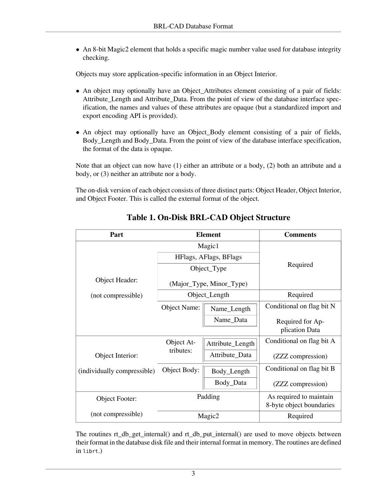• An 8-bit Magic2 element that holds a specific magic number value used for database integrity checking.

Objects may store application-specific information in an Object Interior.

- An object may optionally have an Object\_Attributes element consisting of a pair of fields: Attribute\_Length and Attribute\_Data. From the point of view of the database interface specification, the names and values of these attributes are opaque (but a standardized import and export encoding API is provided).
- An object may optionally have an Object\_Body element consisting of a pair of fields, Body\_Length and Body\_Data. From the point of view of the database interface specification, the format of the data is opaque.

Note that an object can now have (1) either an attribute or a body, (2) both an attribute and a body, or (3) neither an attribute nor a body.

The on-disk version of each object consists of three distinct parts: Object Header, Object Interior, and Object Footer. This is called the external format of the object.

| Part                        |                     | <b>Element</b>           | <b>Comments</b>                                     |  |  |  |
|-----------------------------|---------------------|--------------------------|-----------------------------------------------------|--|--|--|
|                             |                     | Magic1                   |                                                     |  |  |  |
|                             |                     | HFlags, AFlags, BFlags   | Required                                            |  |  |  |
|                             |                     | Object_Type              |                                                     |  |  |  |
| Object Header:              |                     | (Major_Type, Minor_Type) |                                                     |  |  |  |
| (not compressible)          |                     | Object_Length            | Required                                            |  |  |  |
|                             | <b>Object Name:</b> | Name_Length              | Conditional on flag bit N                           |  |  |  |
|                             |                     | Name_Data                | Required for Ap-                                    |  |  |  |
|                             |                     |                          | plication Data                                      |  |  |  |
|                             | Object At-          | Attribute_Length         | Conditional on flag bit A                           |  |  |  |
| Object Interior:            | tributes:           | Attribute_Data           | (ZZZ compression)                                   |  |  |  |
| (individually compressible) | Object Body:        | Body_Length              | Conditional on flag bit B                           |  |  |  |
|                             |                     | Body_Data                | (ZZZ compression)                                   |  |  |  |
| Object Footer:              |                     | Padding                  | As required to maintain<br>8-byte object boundaries |  |  |  |
| (not compressible)          |                     | Magic2                   | Required                                            |  |  |  |

#### **Table 1. On-Disk BRL-CAD Object Structure**

The routines rt\_db\_get\_internal() and rt\_db\_put\_internal() are used to move objects between their format in the database disk file and their internal format in memory. The routines are defined in librt.)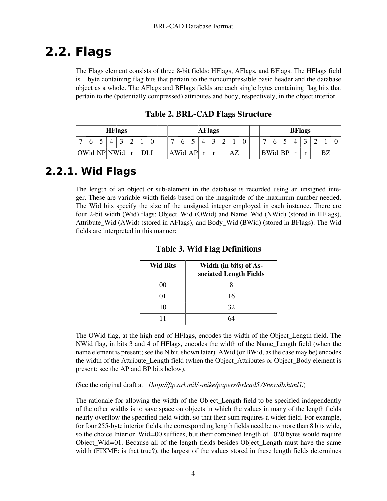## **2.2. Flags**

The Flags element consists of three 8-bit fields: HFlags, AFlags, and BFlags. The HFlags field is 1 byte containing flag bits that pertain to the noncompressible basic header and the database object as a whole. The AFlags and BFlags fields are each single bytes containing flag bits that pertain to the (potentially compressed) attributes and body, respectively, in the object interior.

| <b>HFlags</b>  |              |  |  |  |   | <b>AFlags</b> |                |      |                   |  |  |             | <b>BFlags</b> |  |                |  |                |  |         |  |    |  |
|----------------|--------------|--|--|--|---|---------------|----------------|------|-------------------|--|--|-------------|---------------|--|----------------|--|----------------|--|---------|--|----|--|
| $\overline{ }$ | O            |  |  |  | ⌒ |               | $\overline{ }$ |      |                   |  |  | $\sim$<br>∠ |               |  | $\overline{ }$ |  |                |  | $\sim$  |  |    |  |
|                | OWid NP NWid |  |  |  |   | DLI           |                | AWid | $A \, \mathbf{P}$ |  |  |             | AZ            |  |                |  | <b>BWid BP</b> |  | $\cdot$ |  | ΒZ |  |

**Table 2. BRL-CAD Flags Structure**

### **2.2.1. Wid Flags**

The length of an object or sub-element in the database is recorded using an unsigned integer. These are variable-width fields based on the magnitude of the maximum number needed. The Wid bits specify the size of the unsigned integer employed in each instance. There are four 2-bit width (Wid) flags: Object\_Wid (OWid) and Name\_Wid (NWid) (stored in HFlags), Attribute\_Wid (AWid) (stored in AFlags), and Body\_Wid (BWid) (stored in BFlags). The Wid fields are interpreted in this manner:

| <b>Wid Bits</b> | Width (in bits) of As-<br>sociated Length Fields |
|-----------------|--------------------------------------------------|
| ററ              |                                                  |
| 01              | 16                                               |
| 10              | 32                                               |
|                 |                                                  |

**Table 3. Wid Flag Definitions**

The OWid flag, at the high end of HFlags, encodes the width of the Object\_Length field. The NWid flag, in bits 3 and 4 of HFlags, encodes the width of the Name\_Length field (when the name element is present; see the N bit, shown later). AWid (or BWid, as the case may be) encodes the width of the Attribute\_Length field (when the Object\_Attributes or Object\_Body element is present; see the AP and BP bits below).

(See the original draft at *[\[http://ftp.arl.mil/~mike/papers/brlcad5.0/newdb.html\]](http://ftp.arl.mil/~mike/papers/brlcad5.0/newdb.html)*.)

The rationale for allowing the width of the Object\_Length field to be specified independently of the other widths is to save space on objects in which the values in many of the length fields nearly overflow the specified field width, so that their sum requires a wider field. For example, for four 255-byte interior fields, the corresponding length fields need be no more than 8 bits wide, so the choice Interior\_Wid=00 suffices, but their combined length of 1020 bytes would require Object\_Wid=01. Because all of the length fields besides Object\_Length must have the same width (FIXME: is that true?), the largest of the values stored in these length fields determines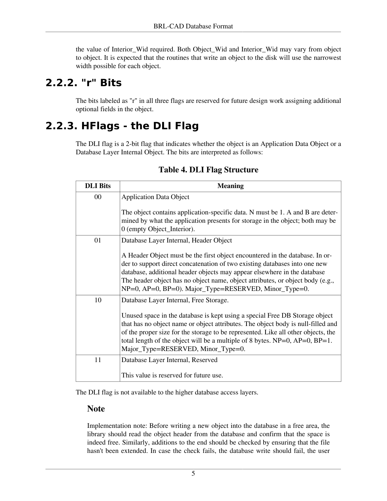the value of Interior\_Wid required. Both Object\_Wid and Interior\_Wid may vary from object to object. It is expected that the routines that write an object to the disk will use the narrowest width possible for each object.

#### **2.2.2. "r" Bits**

The bits labeled as "r" in all three flags are reserved for future design work assigning additional optional fields in the object.

### **2.2.3. HFlags - the DLI Flag**

The DLI flag is a 2-bit flag that indicates whether the object is an Application Data Object or a Database Layer Internal Object. The bits are interpreted as follows:

| <b>DLI</b> Bits | <b>Meaning</b>                                                                                                                                                                                                                                                                                                                                                                                                               |
|-----------------|------------------------------------------------------------------------------------------------------------------------------------------------------------------------------------------------------------------------------------------------------------------------------------------------------------------------------------------------------------------------------------------------------------------------------|
| 00              | <b>Application Data Object</b><br>The object contains application-specific data. N must be 1. A and B are deter-                                                                                                                                                                                                                                                                                                             |
|                 | mined by what the application presents for storage in the object; both may be<br>0 (empty Object_Interior).                                                                                                                                                                                                                                                                                                                  |
| 01              | Database Layer Internal, Header Object                                                                                                                                                                                                                                                                                                                                                                                       |
|                 | A Header Object must be the first object encountered in the database. In or-<br>der to support direct concatenation of two existing databases into one new<br>database, additional header objects may appear elsewhere in the database<br>The header object has no object name, object attributes, or object body (e.g.,<br>NP=0, AP=0, BP=0). Major_Type=RESERVED, Minor_Type=0.                                            |
| 10              | Database Layer Internal, Free Storage.<br>Unused space in the database is kept using a special Free DB Storage object<br>that has no object name or object attributes. The object body is null-filled and<br>of the proper size for the storage to be represented. Like all other objects, the<br>total length of the object will be a multiple of 8 bytes. $NP=0$ , $AP=0$ , $BP=1$ .<br>Major_Type=RESERVED, Minor_Type=0. |
| 11              | Database Layer Internal, Reserved                                                                                                                                                                                                                                                                                                                                                                                            |
|                 | This value is reserved for future use.                                                                                                                                                                                                                                                                                                                                                                                       |

#### **Table 4. DLI Flag Structure**

The DLI flag is not available to the higher database access layers.

#### **Note**

Implementation note: Before writing a new object into the database in a free area, the library should read the object header from the database and confirm that the space is indeed free. Similarly, additions to the end should be checked by ensuring that the file hasn't been extended. In case the check fails, the database write should fail, the user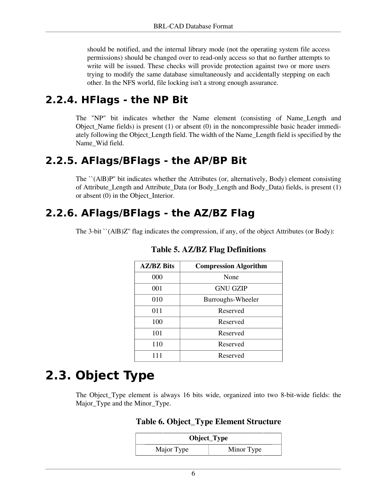should be notified, and the internal library mode (not the operating system file access permissions) should be changed over to read-only access so that no further attempts to write will be issued. These checks will provide protection against two or more users trying to modify the same database simultaneously and accidentally stepping on each other. In the NFS world, file locking isn't a strong enough assurance.

#### **2.2.4. HFlags - the NP Bit**

The "NP" bit indicates whether the Name element (consisting of Name\_Length and Object\_Name fields) is present  $(1)$  or absent  $(0)$  in the noncompressible basic header immediately following the Object\_Length field. The width of the Name\_Length field is specified by the Name\_Wid field.

### **2.2.5. AFlags/BFlags - the AP/BP Bit**

The ``(A|B)P'' bit indicates whether the Attributes (or, alternatively, Body) element consisting of Attribute\_Length and Attribute\_Data (or Body\_Length and Body\_Data) fields, is present (1) or absent (0) in the Object\_Interior.

### **2.2.6. AFlags/BFlags - the AZ/BZ Flag**

The 3-bit ``(A|B)Z'' flag indicates the compression, if any, of the object Attributes (or Body):

| <b>AZ/BZ Bits</b> | <b>Compression Algorithm</b> |
|-------------------|------------------------------|
| 000               | None                         |
| 001               | <b>GNU GZIP</b>              |
| 010               | Burroughs-Wheeler            |
| 011               | Reserved                     |
| 100               | Reserved                     |
| 101               | Reserved                     |
| 110               | Reserved                     |
| 111               | Reserved                     |

#### **Table 5. AZ/BZ Flag Definitions**

## **2.3. Object Type**

The Object\_Type element is always 16 bits wide, organized into two 8-bit-wide fields: the Major\_Type and the Minor\_Type.

#### **Table 6. Object\_Type Element Structure**

| Object_Type |            |  |  |  |  |  |  |
|-------------|------------|--|--|--|--|--|--|
| Major Type  | Minor Type |  |  |  |  |  |  |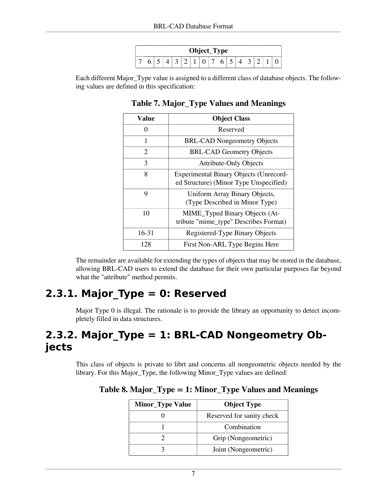| Object_Type |   |   |  |  |  |  |  |  |   |                       |  |  |  |  |  |
|-------------|---|---|--|--|--|--|--|--|---|-----------------------|--|--|--|--|--|
|             | ັ | ີ |  |  |  |  |  |  | ັ | $\tilde{\phantom{a}}$ |  |  |  |  |  |

Each different Major\_Type value is assigned to a different class of database objects. The following values are defined in this specification:

#### **Table 7. Major\_Type Values and Meanings**

| Value     | <b>Object Class</b>                                                                     |
|-----------|-----------------------------------------------------------------------------------------|
| 0         | Reserved                                                                                |
| 1         | <b>BRL-CAD Nongeometry Objects</b>                                                      |
| 2         | <b>BRL-CAD Geometry Objects</b>                                                         |
| 3         | <b>Attribute-Only Objects</b>                                                           |
| 8         | <b>Experimental Binary Objects (Unrecord-</b><br>ed Structure) (Minor Type Unspecified) |
| 9         | Uniform Array Binary Objects,<br>(Type Described in Minor Type)                         |
| 10        | MIME_Typed Binary Objects (At-<br>tribute "mime_type" Describes Format)                 |
| $16 - 31$ | Registered-Type Binary Objects                                                          |
| 128       | First Non-ARL Type Begins Here                                                          |

The remainder are available for extending the types of objects that may be stored in the database, allowing BRL-CAD users to extend the database for their own particular purposes far beyond what the "attribute" method permits.

### **2.3.1. Major\_Type = 0: Reserved**

Major Type 0 is illegal. The rationale is to provide the library an opportunity to detect incompletely filled in data structures.

### **2.3.2. Major\_Type = 1: BRL-CAD Nongeometry Objects**

This class of objects is private to librt and concerns all nongeometric objects needed by the library. For this Major\_Type, the following Minor\_Type values are defined:

| <b>Minor_Type Value</b> | <b>Object Type</b>        |  |  |  |  |  |
|-------------------------|---------------------------|--|--|--|--|--|
|                         | Reserved for sanity check |  |  |  |  |  |
|                         | Combination               |  |  |  |  |  |
|                         | Grip (Nongeometric)       |  |  |  |  |  |
|                         | Joint (Nongeometric)      |  |  |  |  |  |

**Table 8. Major\_Type = 1: Minor\_Type Values and Meanings**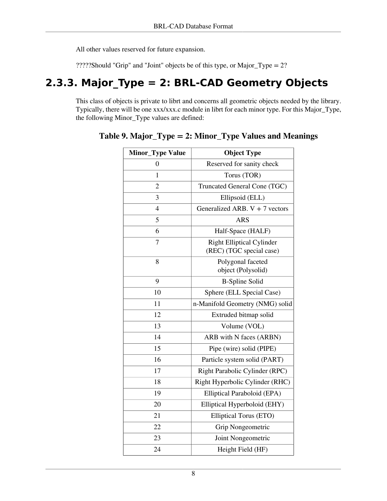All other values reserved for future expansion.

?????Should "Grip" and "Joint" objects be of this type, or Major\_Type = 2?

### **2.3.3. Major\_Type = 2: BRL-CAD Geometry Objects**

This class of objects is private to librt and concerns all geometric objects needed by the library. Typically, there will be one xxx/xxx.c module in librt for each minor type. For this Major\_Type, the following Minor\_Type values are defined:

| <b>Minor_Type Value</b> | <b>Object Type</b>                                           |
|-------------------------|--------------------------------------------------------------|
| 0                       | Reserved for sanity check                                    |
| $\mathbf{1}$            | Torus (TOR)                                                  |
| $\overline{2}$          | Truncated General Cone (TGC)                                 |
| 3                       | Ellipsoid (ELL)                                              |
| $\overline{4}$          | Generalized ARB. $V + 7$ vectors                             |
| 5                       | <b>ARS</b>                                                   |
| 6                       | Half-Space (HALF)                                            |
| 7                       | <b>Right Elliptical Cylinder</b><br>(REC) (TGC special case) |
| 8                       | Polygonal faceted<br>object (Polysolid)                      |
| 9                       | <b>B-Spline Solid</b>                                        |
| 10                      | Sphere (ELL Special Case)                                    |
| 11                      | n-Manifold Geometry (NMG) solid                              |
| 12                      | Extruded bitmap solid                                        |
| 13                      | Volume (VOL)                                                 |
| 14                      | ARB with N faces (ARBN)                                      |
| 15                      | Pipe (wire) solid (PIPE)                                     |
| 16                      | Particle system solid (PART)                                 |
| 17                      | Right Parabolic Cylinder (RPC)                               |
| 18                      | Right Hyperbolic Cylinder (RHC)                              |
| 19                      | Elliptical Paraboloid (EPA)                                  |
| 20                      | Elliptical Hyperboloid (EHY)                                 |
| 21                      | Elliptical Torus (ETO)                                       |
| 22                      | Grip Nongeometric                                            |
| 23                      | Joint Nongeometric                                           |
| 24                      | Height Field (HF)                                            |

**Table 9. Major\_Type = 2: Minor\_Type Values and Meanings**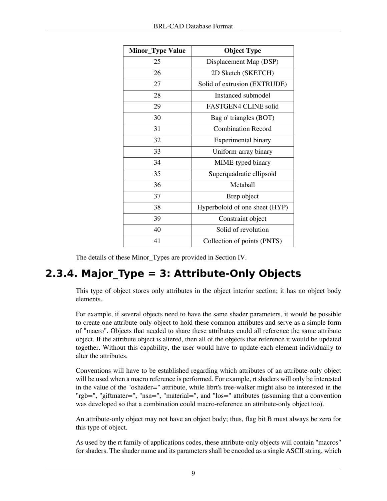| <b>Minor_Type Value</b> | <b>Object Type</b>             |
|-------------------------|--------------------------------|
| 25                      | Displacement Map (DSP)         |
| 26                      | 2D Sketch (SKETCH)             |
| 27                      | Solid of extrusion (EXTRUDE)   |
| 28                      | Instanced submodel             |
| 29                      | FASTGEN4 CLINE solid           |
| 30                      | Bag o' triangles (BOT)         |
| 31                      | <b>Combination Record</b>      |
| 32                      | Experimental binary            |
| 33                      | Uniform-array binary           |
| 34                      | MIME-typed binary              |
| 35                      | Superquadratic ellipsoid       |
| 36                      | Metaball                       |
| 37                      | Brep object                    |
| 38                      | Hyperboloid of one sheet (HYP) |
| 39                      | Constraint object              |
| 40                      | Solid of revolution            |
| 41                      | Collection of points (PNTS)    |

The details of these Minor\_Types are provided in Section IV.

### **2.3.4. Major\_Type = 3: Attribute-Only Objects**

This type of object stores only attributes in the object interior section; it has no object body elements.

For example, if several objects need to have the same shader parameters, it would be possible to create one attribute-only object to hold these common attributes and serve as a simple form of "macro". Objects that needed to share these attributes could all reference the same attribute object. If the attribute object is altered, then all of the objects that reference it would be updated together. Without this capability, the user would have to update each element individually to alter the attributes.

Conventions will have to be established regarding which attributes of an attribute-only object will be used when a macro reference is performed. For example, rt shaders will only be interested in the value of the "oshader=" attribute, while librt's tree-walker might also be interested in the "rgb=", "giftmater=", "nsn=", "material=", and "los=" attributes (assuming that a convention was developed so that a combination could macro-reference an attribute-only object too).

An attribute-only object may not have an object body; thus, flag bit B must always be zero for this type of object.

As used by the rt family of applications codes, these attribute-only objects will contain "macros" for shaders. The shader name and its parameters shall be encoded as a single ASCII string, which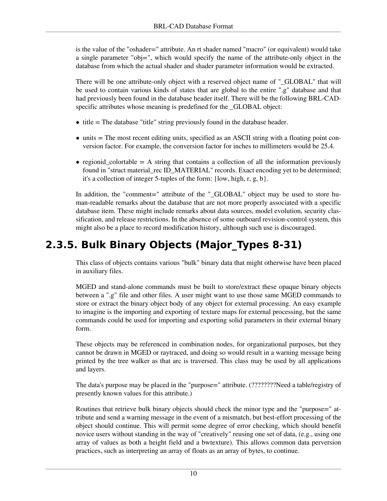is the value of the "oshader=" attribute. An rt shader named "macro" (or equivalent) would take a single parameter "obj=", which would specify the name of the attribute-only object in the database from which the actual shader and shader parameter information would be extracted.

There will be one attribute-only object with a reserved object name of "\_GLOBAL" that will be used to contain various kinds of states that are global to the entire ".g" database and that had previously been found in the database header itself. There will be the following BRL-CADspecific attributes whose meaning is predefined for the \_GLOBAL object:

- $\bullet$  title = The database "title" string previously found in the database header.
- units = The most recent editing units, specified as an ASCII string with a floating point conversion factor. For example, the conversion factor for inches to millimeters would be 25.4.
- regionid colortable  $=$  A string that contains a collection of all the information previously found in "struct material\_rec ID\_MATERIAL" records. Exact encoding yet to be determined; it's a collection of integer 5-tuples of the form: {low, high, r, g, b}.

In addition, the "comment=" attribute of the "\_GLOBAL" object may be used to store human-readable remarks about the database that are not more properly associated with a specific database item. These might include remarks about data sources, model evolution, security classification, and release restrictions. In the absence of some outboard revision-control system, this might also be a place to record modification history, although such use is discouraged.

### **2.3.5. Bulk Binary Objects (Major\_Types 8-31)**

This class of objects contains various "bulk" binary data that might otherwise have been placed in auxiliary files.

MGED and stand-alone commands must be built to store/extract these opaque binary objects between a ".g" file and other files. A user might want to use those same MGED commands to store or extract the binary object body of any object for external processing. An easy example to imagine is the importing and exporting of texture maps for external processing, but the same commands could be used for importing and exporting solid parameters in their external binary form.

These objects may be referenced in combination nodes, for organizational purposes, but they cannot be drawn in MGED or raytraced, and doing so would result in a warning message being printed by the tree walker as that arc is traversed. This class may be used by all applications and layers.

The data's purpose may be placed in the "purpose=" attribute. (????????Need a table/registry of presently known values for this attribute.)

Routines that retrieve bulk binary objects should check the minor type and the "purpose=" attribute and send a warning message in the event of a mismatch, but best-effort processing of the object should continue. This will permit some degree of error checking, which should benefit novice users without standing in the way of "creatively" reusing one set of data, (e.g., using one array of values as both a height field and a bwtexture). This allows common data perversion practices, such as interpreting an array of floats as an array of bytes, to continue.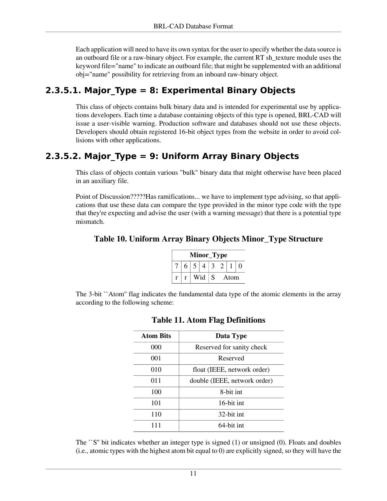Each application will need to have its own syntax for the user to specify whether the data source is an outboard file or a raw-binary object. For example, the current RT sh\_texture module uses the keyword file="name" to indicate an outboard file; that might be supplemented with an additional obj="name" possibility for retrieving from an inboard raw-binary object.

#### **2.3.5.1. Major\_Type = 8: Experimental Binary Objects**

This class of objects contains bulk binary data and is intended for experimental use by applications developers. Each time a database containing objects of this type is opened, BRL-CAD will issue a user-visible warning. Production software and databases should not use these objects. Developers should obtain registered 16-bit object types from the website in order to avoid collisions with other applications.

#### **2.3.5.2. Major\_Type = 9: Uniform Array Binary Objects**

This class of objects contain various "bulk" binary data that might otherwise have been placed in an auxiliary file.

Point of Discussion?????Has ramifications... we have to implement type advising, so that applications that use these data can compare the type provided in the minor type code with the type that they're expecting and advise the user (with a warning message) that there is a potential type mismatch.

#### **Table 10. Uniform Array Binary Objects Minor\_Type Structure**

| Minor_Type |                |  |   |  |      |  |  |  |  |  |
|------------|----------------|--|---|--|------|--|--|--|--|--|
| 6          | 5 <sup>5</sup> |  |   |  |      |  |  |  |  |  |
|            | Wid            |  | S |  | Atom |  |  |  |  |  |

The 3-bit ``Atom'' flag indicates the fundamental data type of the atomic elements in the array according to the following scheme:

| <b>Atom Bits</b> | Data Type                    |
|------------------|------------------------------|
| 000              | Reserved for sanity check    |
| 001              | Reserved                     |
| 010              | float (IEEE, network order)  |
| 011              | double (IEEE, network order) |
| 100              | 8-bit int                    |
| 101              | 16-bit int                   |
| 110              | 32-bit int.                  |
|                  | 64-bit int                   |

#### **Table 11. Atom Flag Definitions**

The  $\degree$ S" bit indicates whether an integer type is signed (1) or unsigned (0). Floats and doubles (i.e., atomic types with the highest atom bit equal to 0) are explicitly signed, so they will have the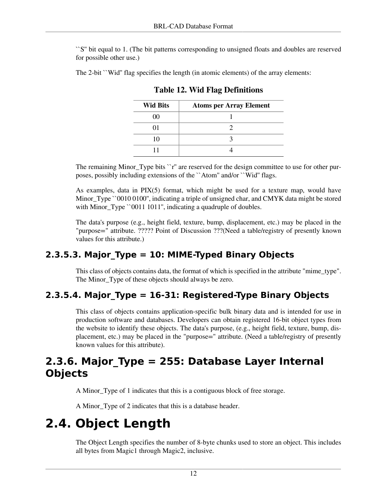``S'' bit equal to 1. (The bit patterns corresponding to unsigned floats and doubles are reserved for possible other use.)

The 2-bit ``Wid'' flag specifies the length (in atomic elements) of the array elements:

| <b>Wid Bits</b> | <b>Atoms per Array Element</b> |
|-----------------|--------------------------------|
| 00              |                                |
|                 |                                |
|                 |                                |
|                 |                                |

**Table 12. Wid Flag Definitions**

The remaining Minor\_Type bits ``r" are reserved for the design committee to use for other purposes, possibly including extensions of the ``Atom'' and/or ``Wid'' flags.

As examples, data in  $PIX(5)$  format, which might be used for a texture map, would have Minor Type ``0010 0100", indicating a triple of unsigned char, and CMYK data might be stored with Minor\_Type ``0011 1011'', indicating a quadruple of doubles.

The data's purpose (e.g., height field, texture, bump, displacement, etc.) may be placed in the "purpose=" attribute. ????? Point of Discussion ???(Need a table/registry of presently known values for this attribute.)

#### **2.3.5.3. Major\_Type = 10: MIME-Typed Binary Objects**

This class of objects contains data, the format of which is specified in the attribute "mime\_type". The Minor\_Type of these objects should always be zero.

#### **2.3.5.4. Major\_Type = 16-31: Registered-Type Binary Objects**

This class of objects contains application-specific bulk binary data and is intended for use in production software and databases. Developers can obtain registered 16-bit object types from the website to identify these objects. The data's purpose, (e.g., height field, texture, bump, displacement, etc.) may be placed in the "purpose=" attribute. (Need a table/registry of presently known values for this attribute).

### **2.3.6. Major\_Type = 255: Database Layer Internal Objects**

A Minor\_Type of 1 indicates that this is a contiguous block of free storage.

A Minor\_Type of 2 indicates that this is a database header.

## **2.4. Object Length**

The Object Length specifies the number of 8-byte chunks used to store an object. This includes all bytes from Magic1 through Magic2, inclusive.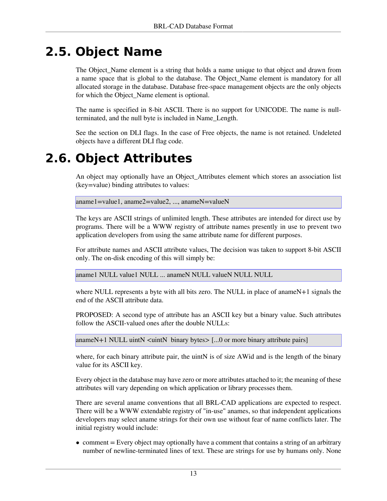## **2.5. Object Name**

The Object\_Name element is a string that holds a name unique to that object and drawn from a name space that is global to the database. The Object\_Name element is mandatory for all allocated storage in the database. Database free-space management objects are the only objects for which the Object\_Name element is optional.

The name is specified in 8-bit ASCII. There is no support for UNICODE. The name is nullterminated, and the null byte is included in Name\_Length.

See the section on DLI flags. In the case of Free objects, the name is not retained. Undeleted objects have a different DLI flag code.

### **2.6. Object Attributes**

An object may optionally have an Object\_Attributes element which stores an association list (key=value) binding attributes to values:

aname1=value1, aname2=value2, ..., anameN=valueN

The keys are ASCII strings of unlimited length. These attributes are intended for direct use by programs. There will be a WWW registry of attribute names presently in use to prevent two application developers from using the same attribute name for different purposes.

For attribute names and ASCII attribute values, The decision was taken to support 8-bit ASCII only. The on-disk encoding of this will simply be:

aname1 NULL value1 NULL ... anameN NULL valueN NULL NULL

where NULL represents a byte with all bits zero. The NULL in place of anameN+1 signals the end of the ASCII attribute data.

PROPOSED: A second type of attribute has an ASCII key but a binary value. Such attributes follow the ASCII-valued ones after the double NULLs:

anameN+1 NULL uintN  $\lt$ uintN binary bytes $\gt$  [...0 or more binary attribute pairs]

where, for each binary attribute pair, the uintN is of size AWid and is the length of the binary value for its ASCII key.

Every object in the database may have zero or more attributes attached to it; the meaning of these attributes will vary depending on which application or library processes them.

There are several aname conventions that all BRL-CAD applications are expected to respect. There will be a WWW extendable registry of "in-use" anames, so that independent applications developers may select aname strings for their own use without fear of name conflicts later. The initial registry would include:

• comment  $=$  Every object may optionally have a comment that contains a string of an arbitrary number of newline-terminated lines of text. These are strings for use by humans only. None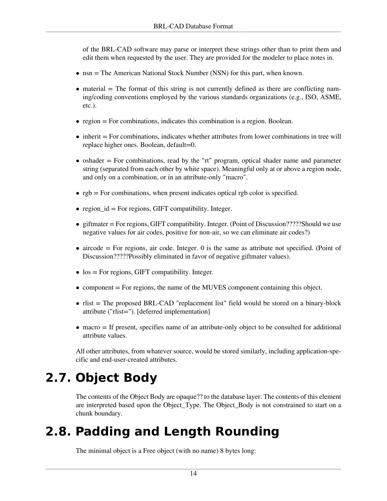of the BRL-CAD software may parse or interpret these strings other than to print them and edit them when requested by the user. They are provided for the modeler to place notes in.

- nsn = The American National Stock Number (NSN) for this part, when known.
- $\bullet$  material  $=$  The format of this string is not currently defined as there are conflicting naming/coding conventions employed by the various standards organizations (e.g., ISO, ASME, etc.).
- region = For combinations, indicates this combination is a region. Boolean.
- inherit = For combinations, indicates whether attributes from lower combinations in tree will replace higher ones. Boolean, default=0.
- $\bullet$  oshader = For combinations, read by the "rt" program, optical shader name and parameter string (separated from each other by white space). Meaningful only at or above a region node, and only on a combination, or in an attribute-only "macro".
- $\bullet$  rgb = For combinations, when present indicates optical rgb color is specified.
- region\_id = For regions, GIFT compatibility. Integer.
- giftmater = For regions, GIFT compatibility. Integer. (Point of Discussion?????Should we use negative values for air codes, positive for non-air, so we can eliminate air codes?)
- $\bullet$  aircode = For regions, air code. Integer. 0 is the same as attribute not specified. (Point of Discussion?????Possibly eliminated in favor of negative giftmater values).
- $\bullet$  los = For regions, GIFT compatibility. Integer.
- component  $=$  For regions, the name of the MUVES component containing this object.
- rlist = The proposed BRL-CAD "replacement list" field would be stored on a binary-block attribute ("rlist="). [deferred implementation]
- macro = If present, specifies name of an attribute-only object to be consulted for additional attribute values.

All other attributes, from whatever source, would be stored similarly, including application-specific and end-user-created attributes.

## **2.7. Object Body**

The contents of the Object Body are opaque?? to the database layer. The contents of this element are interpreted based upon the Object\_Type. The Object\_Body is not constrained to start on a chunk boundary.

## **2.8. Padding and Length Rounding**

The minimal object is a Free object (with no name) 8 bytes long: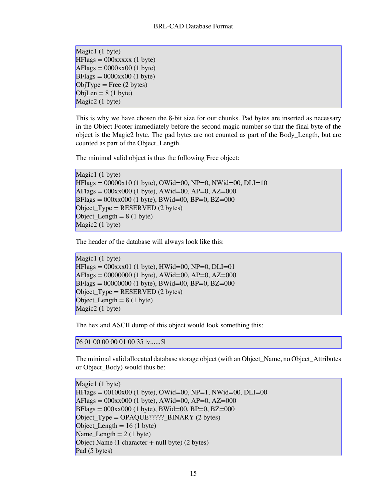```
Magic1 (1 byte)
HFlags = 000xxxx (1 byte)AFlags = 0000xx00 (1 byte)
BFlags = 0000xx00 (1 byte)
ObjType = Free (2 bytes)ObjLen = 8(1 \text{ byte})Magic2 (1 byte)
```
This is why we have chosen the 8-bit size for our chunks. Pad bytes are inserted as necessary in the Object Footer immediately before the second magic number so that the final byte of the object is the Magic2 byte. The pad bytes are not counted as part of the Body\_Length, but are counted as part of the Object\_Length.

The minimal valid object is thus the following Free object:

```
Magic1 (1 byte)
HFlags = 00000x10 (1 byte), OWid=00, NP=0, NWid=00, DLI=10
AFlags = 000xx000 (1 byte), AWid=00, AP=0, AZ=000BFlags = 000xx000 (1 byte), BWid=00, BP=0, BZ=000Object_{Type} = RESERVED (2 bytes)Object Length = 8 (1 byte)
Magic2 (1 byte)
```
The header of the database will always look like this:

```
Magic1 (1 byte)
HFlags = 000xxx01 (1 byte), HWid=00, NP=0, DLI=01AFlags = 00000000 (1 byte), AWid=00, AP=0, AZ=000BFlags = 00000000 (1 byte), BWid=00, BP=0, BZ=000
Object Type = RESERVED (2 bytes)
Object Length = 8 (1 byte)
Magic2 (1 byte)
```
The hex and ASCII dump of this object would look something this:

```
76 01 00 00 00 01 00 35 |v......5|
```
The minimal valid allocated database storage object (with an Object\_Name, no Object\_Attributes or Object\_Body) would thus be:

```
Magic1 (1 byte)
HFlags = 00100x00 (1 byte), OWid=00, NP=1, NWid=00, DLI=00
AFlags = 000xx000 (1 byte), AWid=00, AP=0, AZ=000BFlags = 000xx000 (1 byte), BWid=00, BP=0, BZ=000
Object_Type = OPAQUE?????_BINARY (2 bytes)
Object Length = 16 (1 \text{ byte})Name_Length = 2 (1 byte)
Object Name (1 \text{ character} + \text{null byte}) (2 \text{ bytes})Pad (5 bytes)
```